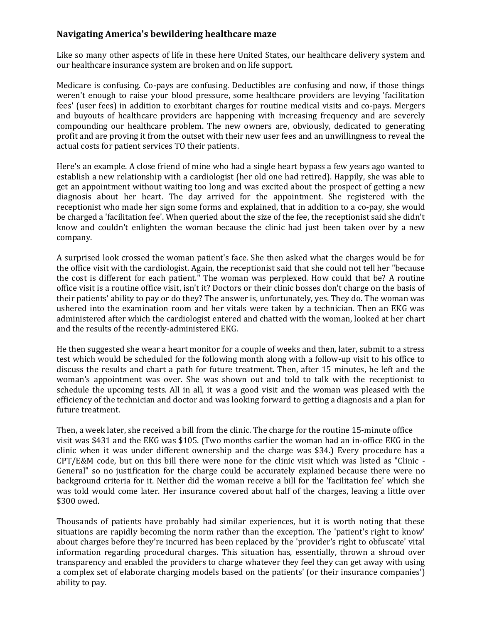## **Navigating America's bewildering healthcare maze**

Like so many other aspects of life in these here United States, our healthcare delivery system and our healthcare insurance system are broken and on life support.

Medicare is confusing. Co-pays are confusing. Deductibles are confusing and now, if those things weren't enough to raise your blood pressure, some healthcare providers are levying 'facilitation fees' (user fees) in addition to exorbitant charges for routine medical visits and co-pays. Mergers and buyouts of healthcare providers are happening with increasing frequency and are severely compounding our healthcare problem. The new owners are, obviously, dedicated to generating profit and are proving it from the outset with their new user fees and an unwillingness to reveal the actual costs for patient services TO their patients.

Here's an example. A close friend of mine who had a single heart bypass a few years ago wanted to establish a new relationship with a cardiologist (her old one had retired). Happily, she was able to get an appointment without waiting too long and was excited about the prospect of getting a new diagnosis about her heart. The day arrived for the appointment. She registered with the receptionist who made her sign some forms and explained, that in addition to a co-pay, she would be charged a 'facilitation fee'. When queried about the size of the fee, the receptionist said she didn't know and couldn't enlighten the woman because the clinic had just been taken over by a new company.

A surprised look crossed the woman patient's face. She then asked what the charges would be for the office visit with the cardiologist. Again, the receptionist said that she could not tell her "because the cost is different for each patient." The woman was perplexed. How could that be? A routine office visit is a routine office visit, isn't it? Doctors or their clinic bosses don't charge on the basis of their patients' ability to pay or do they? The answer is, unfortunately, yes. They do. The woman was ushered into the examination room and her vitals were taken by a technician. Then an EKG was administered after which the cardiologist entered and chatted with the woman, looked at her chart and the results of the recently-administered EKG.

He then suggested she wear a heart monitor for a couple of weeks and then, later, submit to a stress test which would be scheduled for the following month along with a follow-up visit to his office to discuss the results and chart a path for future treatment. Then, after 15 minutes, he left and the woman's appointment was over. She was shown out and told to talk with the receptionist to schedule the upcoming tests. All in all, it was a good visit and the woman was pleased with the efficiency of the technician and doctor and was looking forward to getting a diagnosis and a plan for future treatment.

Then, a week later, she received a bill from the clinic. The charge for the routine 15-minute office visit was \$431 and the EKG was \$105. (Two months earlier the woman had an in-office EKG in the clinic when it was under different ownership and the charge was \$34.) Every procedure has a CPT/E&M code, but on this bill there were none for the clinic visit which was listed as "Clinic - General" so no justification for the charge could be accurately explained because there were no background criteria for it. Neither did the woman receive a bill for the 'facilitation fee' which she was told would come later. Her insurance covered about half of the charges, leaving a little over \$300 owed.

Thousands of patients have probably had similar experiences, but it is worth noting that these situations are rapidly becoming the norm rather than the exception. The 'patient's right to know' about charges before they're incurred has been replaced by the 'provider's right to obfuscate' vital information regarding procedural charges. This situation has, essentially, thrown a shroud over transparency and enabled the providers to charge whatever they feel they can get away with using a complex set of elaborate charging models based on the patients' (or their insurance companies') ability to pay.